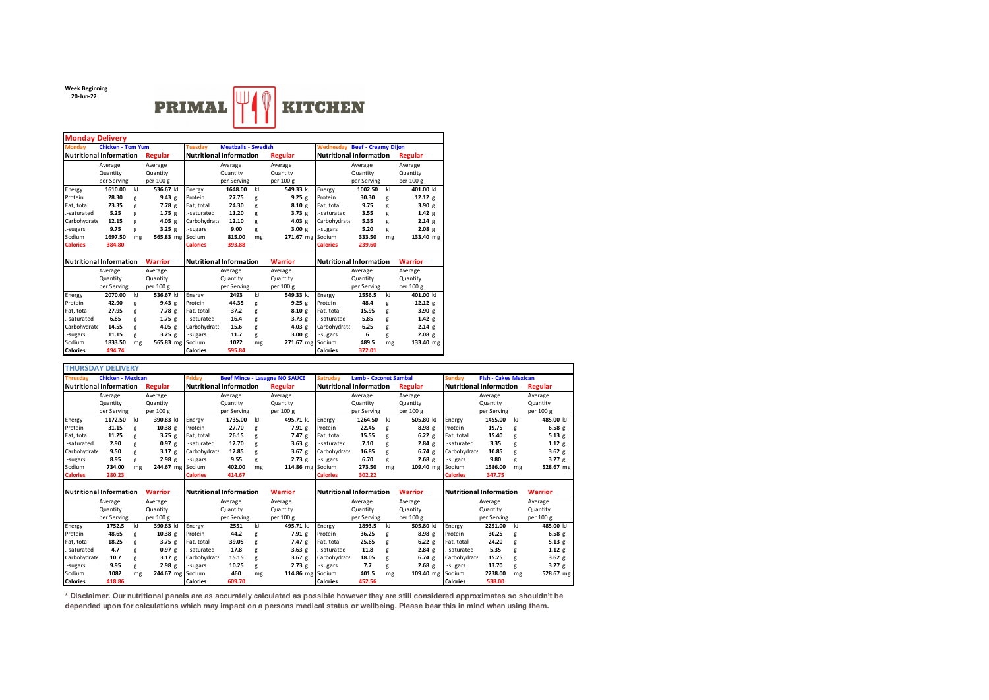**Week Beginning 20-Jun-22**



| <b>Monday Delivery</b>         |                          |         |                                |                                |                            |         |                                |                                                  |             |              |                   |  |  |  |
|--------------------------------|--------------------------|---------|--------------------------------|--------------------------------|----------------------------|---------|--------------------------------|--------------------------------------------------|-------------|--------------|-------------------|--|--|--|
| <b>Monday</b>                  | <b>Chicken - Tom Yum</b> |         |                                | <b>Tuesdav</b>                 | <b>Meatballs - Swedish</b> |         |                                | <b>Wednesday Beef - Creamy Dijon</b>             |             |              |                   |  |  |  |
| <b>Nutritional Information</b> |                          | Regular | <b>Nutritional Information</b> |                                |                            | Regular | <b>Nutritional Information</b> | <b>Regular</b>                                   |             |              |                   |  |  |  |
|                                | Average                  |         | Average                        |                                | Average                    |         | Average                        |                                                  | Average     | Average      |                   |  |  |  |
|                                | Quantity                 |         | Quantity                       |                                | Quantity                   |         | Quantity                       |                                                  | Quantity    |              | Quantity          |  |  |  |
|                                | per Serving              |         | per 100 g                      |                                | per Serving                |         | per 100 g                      |                                                  | per Serving |              | per 100 g         |  |  |  |
| Energy                         | 1610.00                  | kl      | 536.67 kJ                      | Energy                         | 1648.00                    | kI      | 549.33 kJ                      | Energy                                           | 1002.50     | $\mathbf{k}$ | 401.00 kJ         |  |  |  |
| Protein                        | 28.30                    | g       | 9.43 g                         | Protein                        | 27.75                      | g       | 9.25g                          | Protein                                          | 30.30       | g            | 12.12 g           |  |  |  |
| Fat. total                     | 23.35                    | g       | 7.78 <sub>g</sub>              | Fat. total                     | 24.30                      | g       | 8.10 e                         | Fat, total                                       | 9.75        | g            | 3.90 g            |  |  |  |
| -saturated                     | 5.25                     | g       | 1.75g                          | .-saturated                    | 11.20                      | g       | 3.73 g                         | .-saturated                                      | 3.55        | g            | 1.42 g            |  |  |  |
| Carbohydrate                   | 12.15                    | g       | 4.05 $g$                       | Carbohydrate                   | 12.10                      | g       | 4.03 $g$                       | Carbohydrate                                     | 5.35        | g            | 2.14g             |  |  |  |
| -sugars                        | 9.75                     | g       | $3.25$ g                       | .-sugars                       | 9.00                       | g       | 3.00 g                         | .-sugars                                         | 5.20        | g            | 2.08 g            |  |  |  |
| Sodium                         | 1697.50                  | mg      | 565.83 mg Sodium               |                                | 815.00                     | mg      | 271.67 mg                      | Sodium                                           | 333.50      | mg           | 133.40 mg         |  |  |  |
| <b>Calories</b>                | 384.80                   |         |                                | <b>Calories</b>                | 393.88                     |         |                                | <b>Calories</b>                                  | 239.60      |              |                   |  |  |  |
|                                |                          |         |                                |                                |                            |         |                                |                                                  |             |              |                   |  |  |  |
| <b>Nutritional Information</b> |                          |         | <b>Warrior</b>                 | <b>Nutritional Information</b> |                            |         | <b>Warrior</b>                 | <b>Nutritional Information</b><br><b>Warrior</b> |             |              |                   |  |  |  |
|                                | Average                  |         | Average                        |                                | Average                    |         | Average                        | Average                                          |             |              | Average           |  |  |  |
|                                | Quantity                 |         | Quantity                       |                                | Quantity                   |         | Quantity                       |                                                  | Quantity    |              | Quantity          |  |  |  |
|                                | per Serving              |         | per 100 g                      |                                | per Serving                |         | per 100 g                      |                                                  | per Serving |              | per 100 g         |  |  |  |
| Energy                         | 2070.00                  | kI      | 536.67 kJ                      | Energy                         | 2493                       | kI      | 549.33 kJ                      | Energy                                           | 1556.5      | $\mathbf{k}$ | 401.00 kJ         |  |  |  |
| Protein                        | 42.90                    | g       | 9.43g                          | Protein                        | 44.35                      | g       | 9.25 g                         | Protein                                          | 48.4        | g            | 12.12 g           |  |  |  |
| Fat. total                     | 27.95                    | g       | 7.78 <sub>g</sub>              | Fat. total                     | 37.2                       | g       | 8.10 g                         | Fat, total                                       | 15.95       | g            | 3.90 g            |  |  |  |
| -saturated                     | 6.85                     | g       | 1.75g                          | .-saturated                    | 16.4                       | g       | 3.73g                          | .-saturated                                      | 5.85        | g            | 1.42 g            |  |  |  |
| Carbohydrate                   | 14.55                    | g       | 4.05 $g$                       | Carbohydrate                   | 15.6                       | g       | 4.03 $g$                       | Carbohydrate                                     | 6.25        | g            | 2.14g             |  |  |  |
| -sugars                        | 11.15                    | g       | 3.25g                          | .-sugars                       | 11.7                       | g       | 3.00 g                         | .-sugars                                         | 6           | g            | 2.08 <sub>g</sub> |  |  |  |
| Sodium                         | 1833.50                  | mg      | 565.83 mg Sodium               |                                | 1022                       | mg      | 271.67 mg                      | Sodium                                           | 489.5       | mg           | 133.40 mg         |  |  |  |
| <b>Calories</b>                | 494.74                   |         |                                | <b>Calories</b>                | 595.84                     |         |                                | <b>Calories</b>                                  | 372.01      |              |                   |  |  |  |

| <b>THURSDAY DELIVERY</b>                  |                          |                                |                   |                                |                    |                                      |                                |                              |                |                                              |                                |                 |                |                |           |
|-------------------------------------------|--------------------------|--------------------------------|-------------------|--------------------------------|--------------------|--------------------------------------|--------------------------------|------------------------------|----------------|----------------------------------------------|--------------------------------|-----------------|----------------|----------------|-----------|
| <b>Thrusdav</b>                           | <b>Chicken - Mexican</b> |                                |                   |                                |                    | <b>Beef Mince - Lasagne NO SAUCE</b> | <b>Satrudav</b>                | <b>Lamb - Coconut Sambal</b> |                | <b>Fish - Cakes Mexican</b><br><b>Sundav</b> |                                |                 |                |                |           |
| <b>Nutritional Information</b><br>Regular |                          | <b>Nutritional Information</b> |                   |                                | Regular            | <b>Nutritional Information</b>       |                                |                              | <b>Regular</b> | <b>Nutritional Information</b>               |                                |                 | <b>Regular</b> |                |           |
|                                           | Average                  |                                | Average           |                                | Average            |                                      | Average                        |                              | Average        |                                              | Average                        |                 | Average        |                | Average   |
|                                           | Quantity                 |                                | Quantity          |                                | Quantity           |                                      | Quantity                       |                              | Quantity       |                                              | Quantity                       |                 | Quantity       |                | Quantity  |
|                                           | per Serving              |                                | per 100 g         |                                | per Serving        |                                      | per 100 g                      |                              | per Serving    |                                              | per 100 g                      |                 | per Serving    |                | per 100 g |
| Energy                                    | 1172.50                  | kJ                             | 390.83 kJ         | Energy                         | 1735.00            | kJ                                   | 495.71 kJ                      | Energy                       | 1264.50        | kI                                           | 505.80 kJ                      | Energy          | 1455.00        | kJ             | 485.00 kJ |
| Protein                                   | 31.15                    | g                              | 10.38 e           | Protein                        | 27.70              | g                                    | 7.91 g                         | Protein                      | 22.45          | g                                            | 8.98 <sub>g</sub>              | Protein         | 19.75          | g              | 6.58g     |
| Fat, total                                | 11.25                    | g                              | $3.75$ g          | Fat. total                     | 26.15              | g                                    | 7.47g                          | Fat. total                   | 15.55          | g                                            | 6.22 g                         | Fat, total      | 15.40          | g              | 5.13 g    |
| .-saturated                               | 2.90                     | g                              | 0.97e             | -saturated                     | 12.70              | g                                    | 3.63 g                         | -saturated                   | 7.10           | g                                            | $2.84$ g                       | -saturated      | 3.35           | g              | 1.12 g    |
| Carbohydrate                              | 9.50                     | g                              | 3.17 <sub>g</sub> | Carbohydrate                   | 12.85              | g                                    | 3.67 $g$                       | Carbohydrate                 | 16.85          | g                                            | 6.74g                          | Carbohydrate    | 10.85          | g              | 3.62 g    |
| .-sugars                                  | 8.95                     | g                              | 2.98 <sub>g</sub> | -sugars                        | 9.55               | g                                    | 2.73 g                         | -sugars                      | 6.70           | g                                            | 2.68g                          | .-sugars        | 9.80           | g              | 3.27 g    |
| Sodium                                    | 734.00                   | mg                             | 244.67 mg Sodium  |                                | 402.00             | mg                                   | 114.86 mg Sodium               |                              | 273.50         | mg                                           | 109.40 mg                      | Sodium          | 1586.00        | mg             | 528.67 mg |
| <b>Calories</b>                           | 280.23                   |                                |                   | <b>Calories</b>                | 414.67             |                                      |                                | <b>Calories</b>              | 302.22         |                                              |                                | <b>Calories</b> | 347.75         |                |           |
|                                           |                          |                                |                   |                                |                    |                                      |                                |                              |                |                                              |                                |                 |                |                |           |
| <b>Nutritional Information</b>            |                          |                                | <b>Warrior</b>    | <b>Nutritional Information</b> |                    | <b>Warrior</b>                       | <b>Nutritional Information</b> |                              |                | <b>Warrior</b>                               | <b>Nutritional Information</b> |                 |                | <b>Warrior</b> |           |
|                                           | Average                  |                                | Average           |                                | Average<br>Average |                                      | Average                        |                              | Average        |                                              | Average                        |                 | Average        |                |           |
|                                           | Quantity                 |                                | Quantity          |                                | Quantity           |                                      | Quantity                       |                              | Quantity       |                                              | Quantity                       |                 | Quantity       |                | Quantity  |
|                                           | per Serving              |                                | per 100 g         |                                | per Serving        |                                      | per 100 g                      |                              | per Serving    |                                              | per 100 g                      |                 | per Serving    |                | per 100 g |
| Energy                                    | 1752.5                   | kJ                             | 390.83 k          | Energy                         | 2551               | kI                                   | 495.71 kJ                      | Energy                       | 1893.5         | kI                                           | 505.80 kJ                      | Energy          | 2251.00        | kl             | 485.00 kJ |
| Protein                                   | 48.65                    | g                              | 10.38 g           | Protein                        | 44.2               | g                                    | 7.91 g                         | Protein                      | 36.25          | g                                            | 8.98g                          | Protein         | 30.25          | g              | 6.58g     |
| Fat, total                                | 18.25                    | g                              | $3.75$ g          | Fat. total                     | 39.05              | g                                    | 7.47g                          | Fat, total                   | 25.65          | g                                            | 6.22 g                         | Fat, total      | 24.20          | g              | 5.13 g    |
| .-saturated                               | 4.7                      | g                              | 0.97e             | -saturated                     | 17.8               | g                                    | 3.63 g                         | -saturated                   | 11.8           | g                                            | 2.84e                          | -saturated      | 5.35           | g              | 1.12 g    |
| Carbohydrate                              | 10.7                     | g                              | 3.17g             | Carbohydrate                   | 15.15              | g                                    | 3.67 g                         | Carbohydrate                 | 18.05          | g                                            | 6.74g                          | Carbohydrate    | 15.25          | g              | 3.62 g    |
| .-sugars                                  | 9.95                     | g                              | 2.98 <sub>g</sub> | -sugars                        | 10.25              | g                                    | 2.73 g                         | -sugars                      | 7.7            | g                                            | 2.68g                          | -sugars         | 13.70          | g              | 3.27 g    |
| Sodium                                    | 1082                     | mg                             | 244.67 mg Sodium  |                                | 460                | mg                                   | 114.86 mg Sodium               |                              | 401.5          | mg                                           | 109.40 mg Sodium               |                 | 2238.00        | mg             | 528.67 mg |
| <b>Calories</b>                           | 418.86                   |                                |                   | <b>Calories</b>                | 609.70             |                                      |                                | <b>Calories</b>              | 452.56         |                                              |                                | <b>Calories</b> | 538.00         |                |           |

**\* Disclaimer. Our nutritional panels are as accurately calculated as possible however they are still considered approximates so shouldn't be depended upon for calculations which may impact on a persons medical status or wellbeing. Please bear this in mind when using them.**